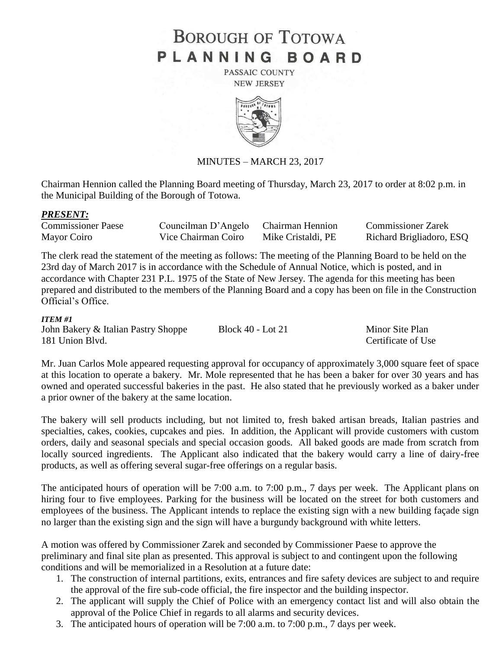# **BOROUGH OF TOTOWA** PLANNING BOARD

PASSAIC COUNTY **NEW JERSEY** 



### MINUTES – MARCH 23, 2017

Chairman Hennion called the Planning Board meeting of Thursday, March 23, 2017 to order at 8:02 p.m. in the Municipal Building of the Borough of Totowa.

#### *PRESENT:*

| <b>Commissioner Paese</b> | Councilman D'Angelo Chairman Hennion |                    | <b>Commissioner Zarek</b> |
|---------------------------|--------------------------------------|--------------------|---------------------------|
| Mayor Coiro               | Vice Chairman Coiro                  | Mike Cristaldi, PE | Richard Brigliadoro, ESQ  |

The clerk read the statement of the meeting as follows: The meeting of the Planning Board to be held on the 23rd day of March 2017 is in accordance with the Schedule of Annual Notice, which is posted, and in accordance with Chapter 231 P.L. 1975 of the State of New Jersey. The agenda for this meeting has been prepared and distributed to the members of the Planning Board and a copy has been on file in the Construction Official's Office.

#### *ITEM #1*

John Bakery & Italian Pastry Shoppe Block 40 - Lot 21 Minor Site Plan 181 Union Blvd. Certificate of Use

Mr. Juan Carlos Mole appeared requesting approval for occupancy of approximately 3,000 square feet of space at this location to operate a bakery. Mr. Mole represented that he has been a baker for over 30 years and has owned and operated successful bakeries in the past. He also stated that he previously worked as a baker under a prior owner of the bakery at the same location.

The bakery will sell products including, but not limited to, fresh baked artisan breads, Italian pastries and specialties, cakes, cookies, cupcakes and pies. In addition, the Applicant will provide customers with custom orders, daily and seasonal specials and special occasion goods. All baked goods are made from scratch from locally sourced ingredients. The Applicant also indicated that the bakery would carry a line of dairy-free products, as well as offering several sugar-free offerings on a regular basis.

The anticipated hours of operation will be 7:00 a.m. to 7:00 p.m., 7 days per week. The Applicant plans on hiring four to five employees. Parking for the business will be located on the street for both customers and employees of the business. The Applicant intends to replace the existing sign with a new building façade sign no larger than the existing sign and the sign will have a burgundy background with white letters.

A motion was offered by Commissioner Zarek and seconded by Commissioner Paese to approve the preliminary and final site plan as presented. This approval is subject to and contingent upon the following conditions and will be memorialized in a Resolution at a future date:

- 1. The construction of internal partitions, exits, entrances and fire safety devices are subject to and require the approval of the fire sub-code official, the fire inspector and the building inspector.
- 2. The applicant will supply the Chief of Police with an emergency contact list and will also obtain the approval of the Police Chief in regards to all alarms and security devices.
- 3. The anticipated hours of operation will be 7:00 a.m. to 7:00 p.m., 7 days per week.